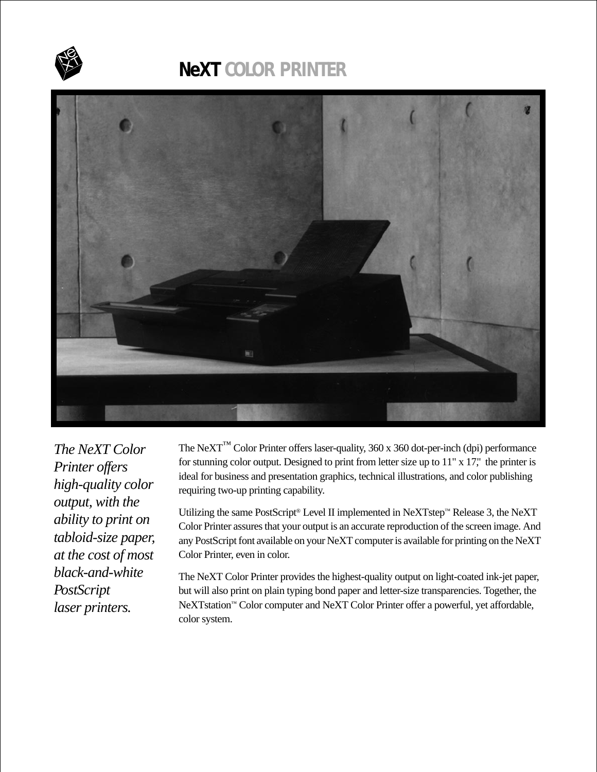

## **NeXT COLOR PRINTER**



*The NeXT Color Printer offers high-quality color output, with the ability to print on tabloid-size paper, at the cost of most black-and-white PostScript laser printers.*

The NeXT<sup>™</sup> Color Printer offers laser-quality, 360 x 360 dot-per-inch (dpi) performance for stunning color output. Designed to print from letter size up to  $11"$  x  $17"$ , the printer is ideal for business and presentation graphics, technical illustrations, and color publishing requiring two-up printing capability.

Utilizing the same PostScript® Level II implemented in NeXTstep™ Release 3, the NeXT Color Printer assures that your output is an accurate reproduction of the screen image. And any PostScript font available on your NeXT computer is available for printing on the NeXT Color Printer, even in color.

The NeXT Color Printer provides the highest-quality output on light-coated ink-jet paper, but will also print on plain typing bond paper and letter-size transparencies. Together, the NeXTstation™ Color computer and NeXT Color Printer offer a powerful, yet affordable, color system.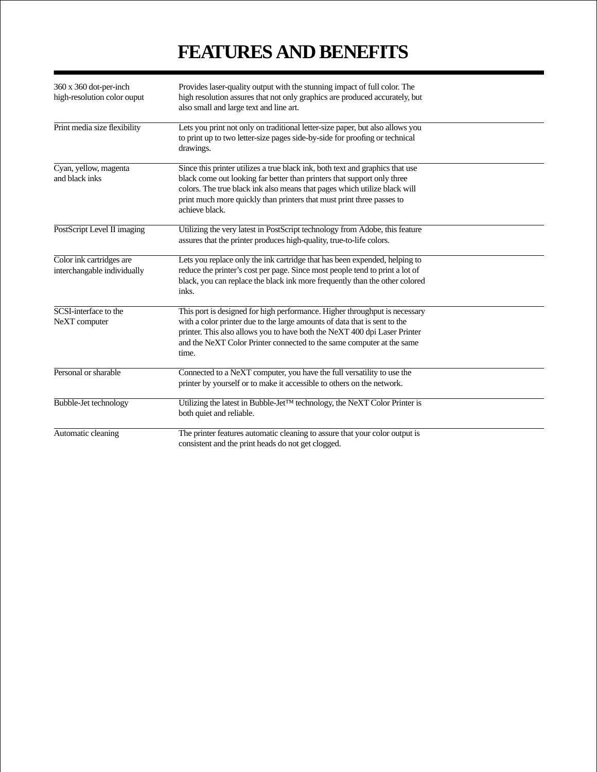# **FEATURES AND BENEFITS**

| 360 x 360 dot-per-inch<br>high-resolution color ouput   | Provides laser-quality output with the stunning impact of full color. The<br>high resolution assures that not only graphics are produced accurately, but<br>also small and large text and line art.                                                                                                                              |  |
|---------------------------------------------------------|----------------------------------------------------------------------------------------------------------------------------------------------------------------------------------------------------------------------------------------------------------------------------------------------------------------------------------|--|
| Print media size flexibility                            | Lets you print not only on traditional letter-size paper, but also allows you<br>to print up to two letter-size pages side-by-side for proofing or technical<br>drawings.                                                                                                                                                        |  |
| Cyan, yellow, magenta<br>and black inks                 | Since this printer utilizes a true black ink, both text and graphics that use<br>black come out looking far better than printers that support only three<br>colors. The true black ink also means that pages which utilize black will<br>print much more quickly than printers that must print three passes to<br>achieve black. |  |
| PostScript Level II imaging                             | Utilizing the very latest in PostScript technology from Adobe, this feature<br>assures that the printer produces high-quality, true-to-life colors.                                                                                                                                                                              |  |
| Color ink cartridges are<br>interchangable individually | Lets you replace only the ink cartridge that has been expended, helping to<br>reduce the printer's cost per page. Since most people tend to print a lot of<br>black, you can replace the black ink more frequently than the other colored<br>inks.                                                                               |  |
| SCSI-interface to the<br>NeXT computer                  | This port is designed for high performance. Higher throughput is necessary<br>with a color printer due to the large amounts of data that is sent to the<br>printer. This also allows you to have both the NeXT 400 dpi Laser Printer<br>and the NeXT Color Printer connected to the same computer at the same<br>time.           |  |
| Personal or sharable                                    | Connected to a NeXT computer, you have the full versatility to use the<br>printer by yourself or to make it accessible to others on the network.                                                                                                                                                                                 |  |
| Bubble-Jet technology                                   | Utilizing the latest in Bubble-Jet™ technology, the NeXT Color Printer is<br>both quiet and reliable.                                                                                                                                                                                                                            |  |
| Automatic cleaning                                      | The printer features automatic cleaning to assure that your color output is<br>consistent and the print heads do not get clogged.                                                                                                                                                                                                |  |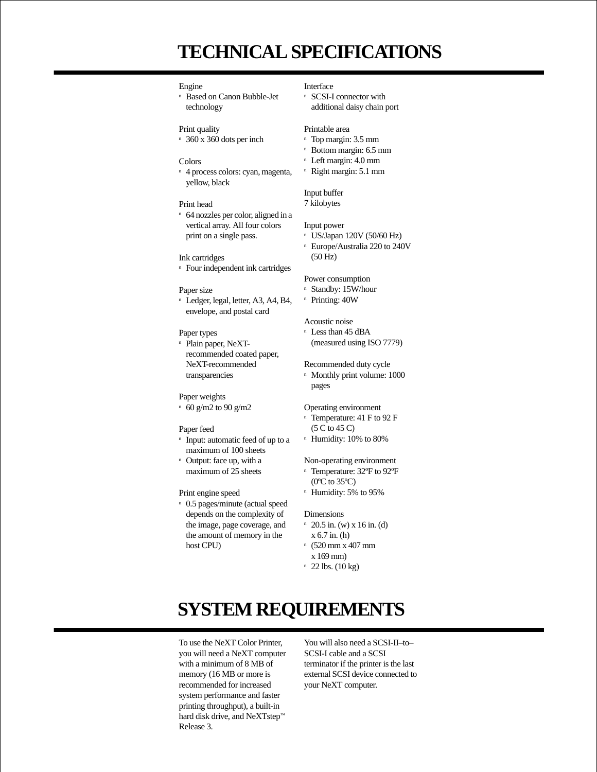## **TECHNICAL SPECIFICATIONS**

#### Engine

<sup>n</sup> Based on Canon Bubble-Jet technology

Print quality

 $n \cdot 360$  x 360 dots per inch

### Colors

<sup>n</sup> 4 process colors: cyan, magenta, yellow, black

#### Print head

<sup>n</sup> 64 nozzles per color, aligned in a vertical array. All four colors print on a single pass.

## Ink cartridges

<sup>n</sup> Four independent ink cartridges

#### Paper size

<sup>n</sup> Ledger, legal, letter, A3, A4, B4, envelope, and postal card

#### Paper types

<sup>n</sup> Plain paper, NeXTrecommended coated paper, NeXT-recommended transparencies

#### Paper weights

 $n \cdot 60$  g/m2 to 90 g/m2

#### Paper feed

- <sup>n</sup> Input: automatic feed of up to a maximum of 100 sheets
- <sup>n</sup> Output: face up, with a maximum of 25 sheets

#### Print engine speed

<sup>n</sup> 0.5 pages/minute (actual speed depends on the complexity of the image, page coverage, and the amount of memory in the host CPU)

## Interface

<sup>n</sup> SCSI-I connector with additional daisy chain port

#### Printable area

- <sup>n</sup> Top margin: 3.5 mm
- <sup>n</sup> Bottom margin: 6.5 mm
- <sup>n</sup> Left margin: 4.0 mm
- <sup>n</sup> Right margin: 5.1 mm

### Input buffer 7 kilobytes

#### Input power

- <sup>n</sup> US/Japan 120V (50/60 Hz) <sup>n</sup> Europe/Australia 220 to 240V
- (50 Hz)

### Power consumption

- <sup>n</sup> Standby: 15W/hour
- <sup>n</sup> Printing: 40W

## Acoustic noise

<sup>n</sup> Less than 45 dBA (measured using ISO 7779)

#### Recommended duty cycle

<sup>n</sup> Monthly print volume: 1000 pages

#### Operating environment

- <sup>n</sup> Temperature: 41 F to 92 F (5 C to 45 C)
- <sup>n</sup> Humidity: 10% to 80%

### Non-operating environment

- <sup>n</sup> Temperature: 32ºF to 92ºF (0ºC to 35ºC)
- <sup>n</sup> Humidity: 5% to 95%

#### Dimensions

- $n \quad 20.5$  in. (w) x 16 in. (d) x 6.7 in. (h)
- $n \left( 520 \text{ mm} \times 407 \text{ mm} \right)$ x 169 mm)
- $n$  22 lbs. (10 kg)

## **SYSTEM REQUIREMENTS**

To use the NeXT Color Printer, you will need a NeXT computer with a minimum of 8 MB of memory (16 MB or more is recommended for increased system performance and faster printing throughput), a built-in hard disk drive, and NeXTstep™ Release 3.

You will also need a SCSI-II–to– SCSI-I cable and a SCSI terminator if the printer is the last external SCSI device connected to your NeXT computer.